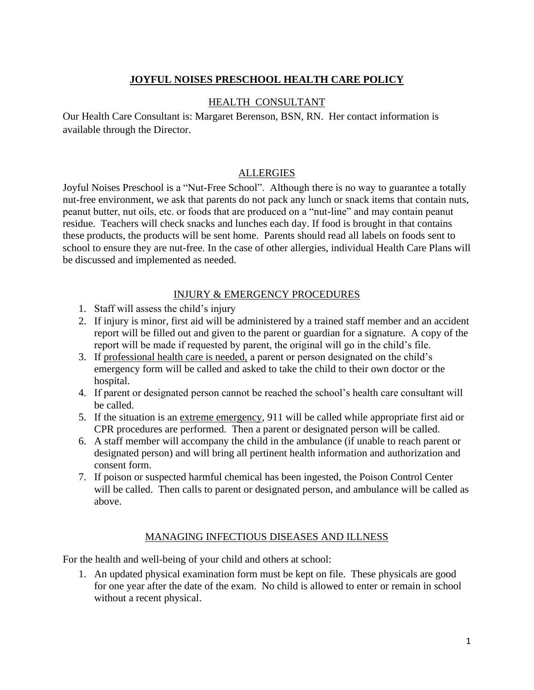## **JOYFUL NOISES PRESCHOOL HEALTH CARE POLICY**

### HEALTH CONSULTANT

Our Health Care Consultant is: Margaret Berenson, BSN, RN. Her contact information is available through the Director.

## ALLERGIES

Joyful Noises Preschool is a "Nut-Free School". Although there is no way to guarantee a totally nut-free environment, we ask that parents do not pack any lunch or snack items that contain nuts, peanut butter, nut oils, etc. or foods that are produced on a "nut-line" and may contain peanut residue. Teachers will check snacks and lunches each day. If food is brought in that contains these products, the products will be sent home. Parents should read all labels on foods sent to school to ensure they are nut-free. In the case of other allergies, individual Health Care Plans will be discussed and implemented as needed.

## INJURY & EMERGENCY PROCEDURES

- 1. Staff will assess the child's injury
- 2. If injury is minor, first aid will be administered by a trained staff member and an accident report will be filled out and given to the parent or guardian for a signature. A copy of the report will be made if requested by parent, the original will go in the child's file.
- 3. If professional health care is needed, a parent or person designated on the child's emergency form will be called and asked to take the child to their own doctor or the hospital.
- 4. If parent or designated person cannot be reached the school's health care consultant will be called.
- 5. If the situation is an extreme emergency, 911 will be called while appropriate first aid or CPR procedures are performed. Then a parent or designated person will be called.
- 6. A staff member will accompany the child in the ambulance (if unable to reach parent or designated person) and will bring all pertinent health information and authorization and consent form.
- 7. If poison or suspected harmful chemical has been ingested, the Poison Control Center will be called. Then calls to parent or designated person, and ambulance will be called as above.

## MANAGING INFECTIOUS DISEASES AND ILLNESS

For the health and well-being of your child and others at school:

1. An updated physical examination form must be kept on file. These physicals are good for one year after the date of the exam. No child is allowed to enter or remain in school without a recent physical.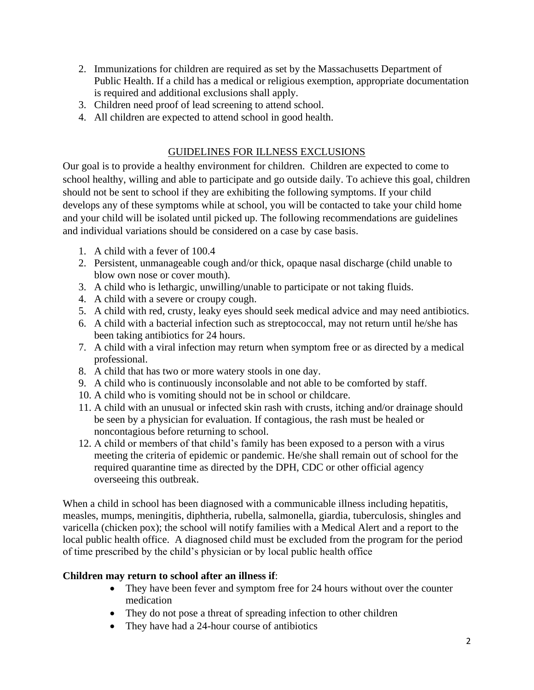- 2. Immunizations for children are required as set by the Massachusetts Department of Public Health. If a child has a medical or religious exemption, appropriate documentation is required and additional exclusions shall apply.
- 3. Children need proof of lead screening to attend school.
- 4. All children are expected to attend school in good health.

## GUIDELINES FOR ILLNESS EXCLUSIONS

Our goal is to provide a healthy environment for children. Children are expected to come to school healthy, willing and able to participate and go outside daily. To achieve this goal, children should not be sent to school if they are exhibiting the following symptoms. If your child develops any of these symptoms while at school, you will be contacted to take your child home and your child will be isolated until picked up. The following recommendations are guidelines and individual variations should be considered on a case by case basis.

- 1. A child with a fever of 100.4
- 2. Persistent, unmanageable cough and/or thick, opaque nasal discharge (child unable to blow own nose or cover mouth).
- 3. A child who is lethargic, unwilling/unable to participate or not taking fluids.
- 4. A child with a severe or croupy cough.
- 5. A child with red, crusty, leaky eyes should seek medical advice and may need antibiotics.
- 6. A child with a bacterial infection such as streptococcal, may not return until he/she has been taking antibiotics for 24 hours.
- 7. A child with a viral infection may return when symptom free or as directed by a medical professional.
- 8. A child that has two or more watery stools in one day.
- 9. A child who is continuously inconsolable and not able to be comforted by staff.
- 10. A child who is vomiting should not be in school or childcare.
- 11. A child with an unusual or infected skin rash with crusts, itching and/or drainage should be seen by a physician for evaluation. If contagious, the rash must be healed or noncontagious before returning to school.
- 12. A child or members of that child's family has been exposed to a person with a virus meeting the criteria of epidemic or pandemic. He/she shall remain out of school for the required quarantine time as directed by the DPH, CDC or other official agency overseeing this outbreak.

When a child in school has been diagnosed with a communicable illness including hepatitis, measles, mumps, meningitis, diphtheria, rubella, salmonella, giardia, tuberculosis, shingles and varicella (chicken pox); the school will notify families with a Medical Alert and a report to the local public health office. A diagnosed child must be excluded from the program for the period of time prescribed by the child's physician or by local public health office

## **Children may return to school after an illness if**:

- They have been fever and symptom free for 24 hours without over the counter medication
- They do not pose a threat of spreading infection to other children
- They have had a 24-hour course of antibiotics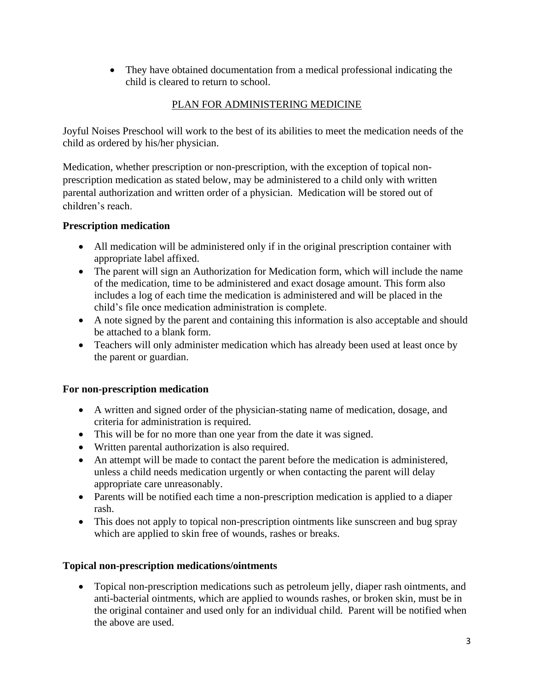• They have obtained documentation from a medical professional indicating the child is cleared to return to school.

# PLAN FOR ADMINISTERING MEDICINE

Joyful Noises Preschool will work to the best of its abilities to meet the medication needs of the child as ordered by his/her physician.

Medication, whether prescription or non-prescription, with the exception of topical nonprescription medication as stated below, may be administered to a child only with written parental authorization and written order of a physician. Medication will be stored out of children's reach.

## **Prescription medication**

- All medication will be administered only if in the original prescription container with appropriate label affixed.
- The parent will sign an Authorization for Medication form, which will include the name of the medication, time to be administered and exact dosage amount. This form also includes a log of each time the medication is administered and will be placed in the child's file once medication administration is complete.
- A note signed by the parent and containing this information is also acceptable and should be attached to a blank form.
- Teachers will only administer medication which has already been used at least once by the parent or guardian.

# **For non-prescription medication**

- A written and signed order of the physician-stating name of medication, dosage, and criteria for administration is required.
- This will be for no more than one year from the date it was signed.
- Written parental authorization is also required.
- An attempt will be made to contact the parent before the medication is administered, unless a child needs medication urgently or when contacting the parent will delay appropriate care unreasonably.
- Parents will be notified each time a non-prescription medication is applied to a diaper rash.
- This does not apply to topical non-prescription ointments like sunscreen and bug spray which are applied to skin free of wounds, rashes or breaks.

# **Topical non-prescription medications/ointments**

• Topical non-prescription medications such as petroleum jelly, diaper rash ointments, and anti-bacterial ointments, which are applied to wounds rashes, or broken skin, must be in the original container and used only for an individual child. Parent will be notified when the above are used.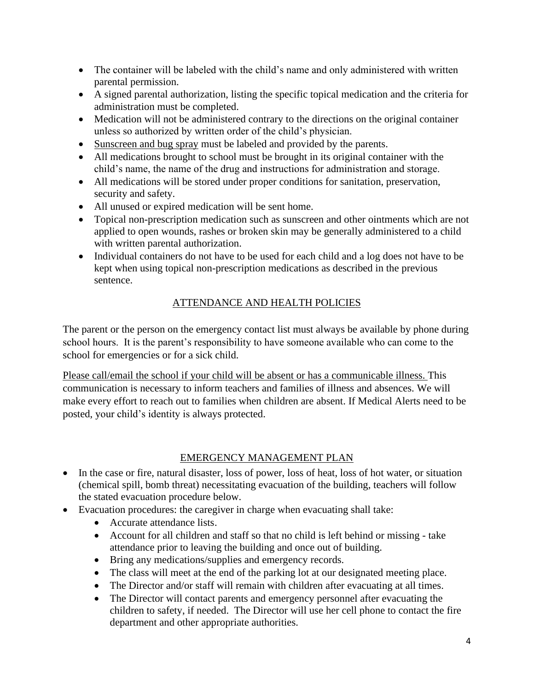- The container will be labeled with the child's name and only administered with written parental permission.
- A signed parental authorization, listing the specific topical medication and the criteria for administration must be completed.
- Medication will not be administered contrary to the directions on the original container unless so authorized by written order of the child's physician.
- Sunscreen and bug spray must be labeled and provided by the parents.
- All medications brought to school must be brought in its original container with the child's name, the name of the drug and instructions for administration and storage.
- All medications will be stored under proper conditions for sanitation, preservation, security and safety.
- All unused or expired medication will be sent home.
- Topical non-prescription medication such as sunscreen and other ointments which are not applied to open wounds, rashes or broken skin may be generally administered to a child with written parental authorization.
- Individual containers do not have to be used for each child and a log does not have to be kept when using topical non-prescription medications as described in the previous sentence.

# ATTENDANCE AND HEALTH POLICIES

The parent or the person on the emergency contact list must always be available by phone during school hours. It is the parent's responsibility to have someone available who can come to the school for emergencies or for a sick child.

Please call/email the school if your child will be absent or has a communicable illness. This communication is necessary to inform teachers and families of illness and absences. We will make every effort to reach out to families when children are absent. If Medical Alerts need to be posted, your child's identity is always protected.

# EMERGENCY MANAGEMENT PLAN

- In the case or fire, natural disaster, loss of power, loss of heat, loss of hot water, or situation (chemical spill, bomb threat) necessitating evacuation of the building, teachers will follow the stated evacuation procedure below.
- Evacuation procedures: the caregiver in charge when evacuating shall take:
	- Accurate attendance lists.
	- Account for all children and staff so that no child is left behind or missing take attendance prior to leaving the building and once out of building.
	- Bring any medications/supplies and emergency records.
	- The class will meet at the end of the parking lot at our designated meeting place.
	- The Director and/or staff will remain with children after evacuating at all times.
	- The Director will contact parents and emergency personnel after evacuating the children to safety, if needed. The Director will use her cell phone to contact the fire department and other appropriate authorities.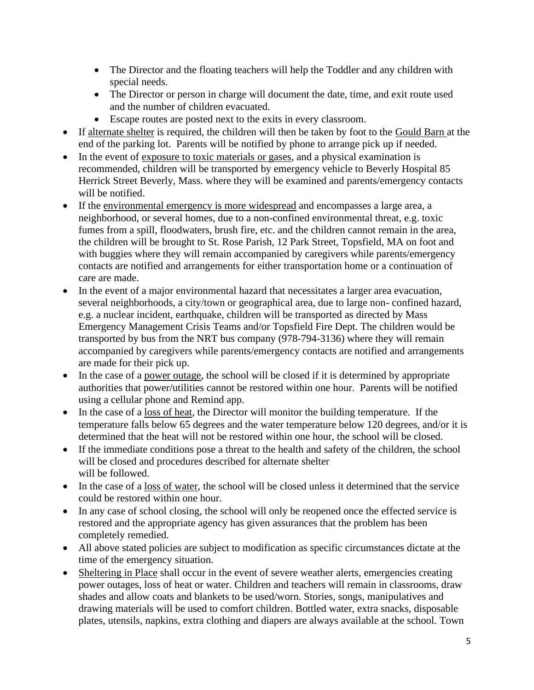- The Director and the floating teachers will help the Toddler and any children with special needs.
- The Director or person in charge will document the date, time, and exit route used and the number of children evacuated.
- Escape routes are posted next to the exits in every classroom.
- If alternate shelter is required, the children will then be taken by foot to the Gould Barn at the end of the parking lot. Parents will be notified by phone to arrange pick up if needed.
- In the event of exposure to toxic materials or gases, and a physical examination is recommended, children will be transported by emergency vehicle to Beverly Hospital 85 Herrick Street Beverly, Mass. where they will be examined and parents/emergency contacts will be notified.
- If the environmental emergency is more widespread and encompasses a large area, a neighborhood, or several homes, due to a non-confined environmental threat, e.g. toxic fumes from a spill, floodwaters, brush fire, etc. and the children cannot remain in the area, the children will be brought to St. Rose Parish, 12 Park Street, Topsfield, MA on foot and with buggies where they will remain accompanied by caregivers while parents/emergency contacts are notified and arrangements for either transportation home or a continuation of care are made.
- In the event of a major environmental hazard that necessitates a larger area evacuation, several neighborhoods, a city/town or geographical area, due to large non- confined hazard, e.g. a nuclear incident, earthquake, children will be transported as directed by Mass Emergency Management Crisis Teams and/or Topsfield Fire Dept. The children would be transported by bus from the NRT bus company (978-794-3136) where they will remain accompanied by caregivers while parents/emergency contacts are notified and arrangements are made for their pick up.
- In the case of a power outage, the school will be closed if it is determined by appropriate authorities that power/utilities cannot be restored within one hour. Parents will be notified using a cellular phone and Remind app.
- In the case of a loss of heat, the Director will monitor the building temperature. If the temperature falls below 65 degrees and the water temperature below 120 degrees, and/or it is determined that the heat will not be restored within one hour, the school will be closed.
- If the immediate conditions pose a threat to the health and safety of the children, the school will be closed and procedures described for alternate shelter will be followed.
- In the case of a loss of water, the school will be closed unless it determined that the service could be restored within one hour.
- In any case of school closing, the school will only be reopened once the effected service is restored and the appropriate agency has given assurances that the problem has been completely remedied.
- All above stated policies are subject to modification as specific circumstances dictate at the time of the emergency situation.
- Sheltering in Place shall occur in the event of severe weather alerts, emergencies creating power outages, loss of heat or water. Children and teachers will remain in classrooms, draw shades and allow coats and blankets to be used/worn. Stories, songs, manipulatives and drawing materials will be used to comfort children. Bottled water, extra snacks, disposable plates, utensils, napkins, extra clothing and diapers are always available at the school. Town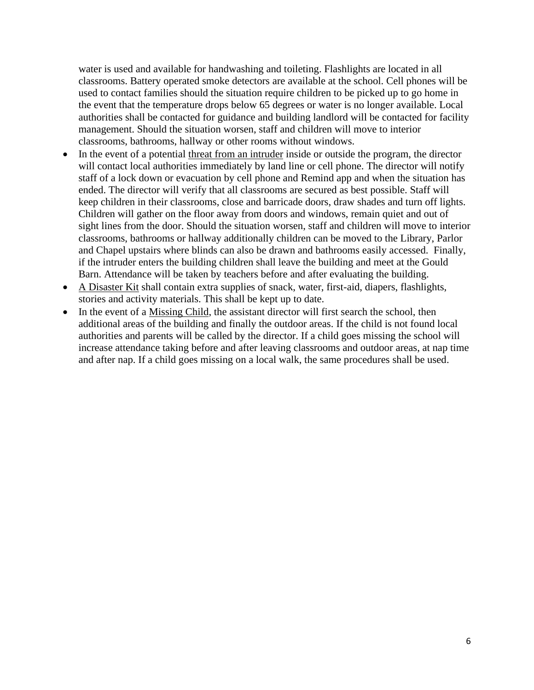water is used and available for handwashing and toileting. Flashlights are located in all classrooms. Battery operated smoke detectors are available at the school. Cell phones will be used to contact families should the situation require children to be picked up to go home in the event that the temperature drops below 65 degrees or water is no longer available. Local authorities shall be contacted for guidance and building landlord will be contacted for facility management. Should the situation worsen, staff and children will move to interior classrooms, bathrooms, hallway or other rooms without windows.

- In the event of a potential threat from an intruder inside or outside the program, the director will contact local authorities immediately by land line or cell phone. The director will notify staff of a lock down or evacuation by cell phone and Remind app and when the situation has ended. The director will verify that all classrooms are secured as best possible. Staff will keep children in their classrooms, close and barricade doors, draw shades and turn off lights. Children will gather on the floor away from doors and windows, remain quiet and out of sight lines from the door. Should the situation worsen, staff and children will move to interior classrooms, bathrooms or hallway additionally children can be moved to the Library, Parlor and Chapel upstairs where blinds can also be drawn and bathrooms easily accessed. Finally, if the intruder enters the building children shall leave the building and meet at the Gould Barn. Attendance will be taken by teachers before and after evaluating the building.
- A Disaster Kit shall contain extra supplies of snack, water, first-aid, diapers, flashlights, stories and activity materials. This shall be kept up to date.
- In the event of a Missing Child, the assistant director will first search the school, then additional areas of the building and finally the outdoor areas. If the child is not found local authorities and parents will be called by the director. If a child goes missing the school will increase attendance taking before and after leaving classrooms and outdoor areas, at nap time and after nap. If a child goes missing on a local walk, the same procedures shall be used.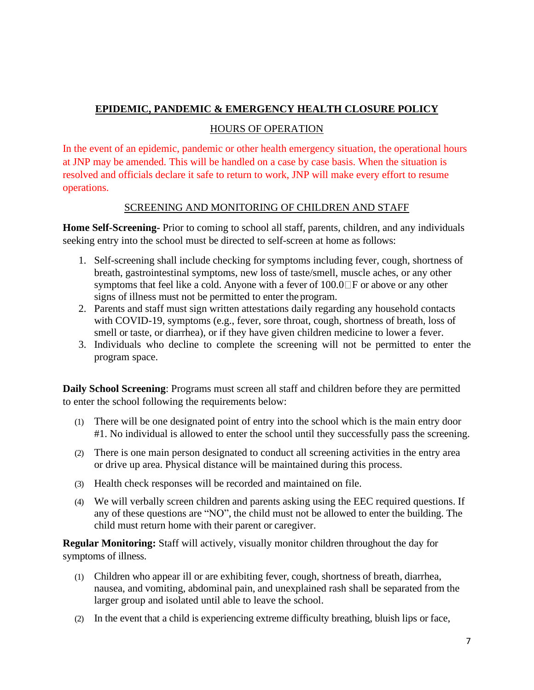## **EPIDEMIC, PANDEMIC & EMERGENCY HEALTH CLOSURE POLICY**

### HOURS OF OPERATION

In the event of an epidemic, pandemic or other health emergency situation, the operational hours at JNP may be amended. This will be handled on a case by case basis. When the situation is resolved and officials declare it safe to return to work, JNP will make every effort to resume operations.

### SCREENING AND MONITORING OF CHILDREN AND STAFF

**Home Self-Screening-** Prior to coming to school all staff, parents, children, and any individuals seeking entry into the school must be directed to self-screen at home as follows:

- 1. Self-screening shall include checking for symptoms including fever, cough, shortness of breath, gastrointestinal symptoms, new loss of taste/smell, muscle aches, or any other symptoms that feel like a cold. Anyone with a fever of  $100.0\text{ or } 1000$  or above or any other signs of illness must not be permitted to enter the program.
- 2. Parents and staff must sign written attestations daily regarding any household contacts with COVID-19, symptoms (e.g., fever, sore throat, cough, shortness of breath, loss of smell or taste, or diarrhea), or if they have given children medicine to lower a fever.
- 3. Individuals who decline to complete the screening will not be permitted to enter the program space.

**Daily School Screening**: Programs must screen all staff and children before they are permitted to enter the school following the requirements below:

- (1) There will be one designated point of entry into the school which is the main entry door #1. No individual is allowed to enter the school until they successfully pass the screening.
- (2) There is one main person designated to conduct all screening activities in the entry area or drive up area. Physical distance will be maintained during this process.
- (3) Health check responses will be recorded and maintained on file.
- (4) We will verbally screen children and parents asking using the EEC required questions. If any of these questions are "NO", the child must not be allowed to enter the building. The child must return home with their parent or caregiver.

**Regular Monitoring:** Staff will actively, visually monitor children throughout the day for symptoms of illness.

- (1) Children who appear ill or are exhibiting fever, cough, shortness of breath, diarrhea, nausea, and vomiting, abdominal pain, and unexplained rash shall be separated from the larger group and isolated until able to leave the school.
- (2) In the event that a child is experiencing extreme difficulty breathing, bluish lips or face,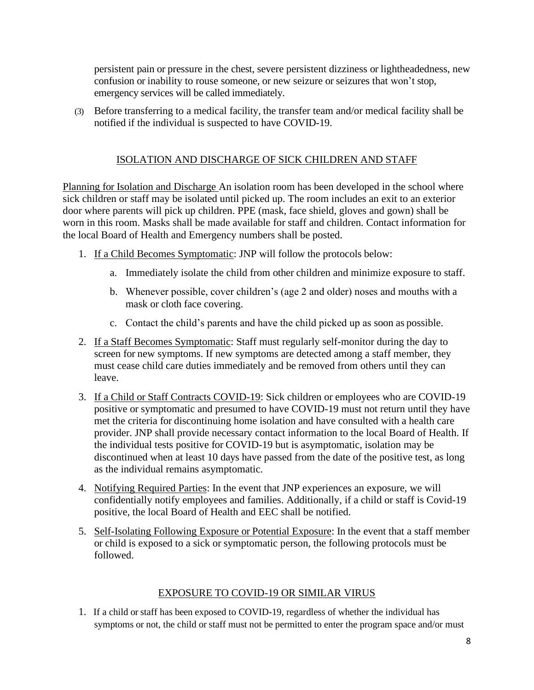persistent pain or pressure in the chest, severe persistent dizziness or lightheadedness, new confusion or inability to rouse someone, or new seizure or seizures that won't stop, emergency services will be called immediately.

(3) Before transferring to a medical facility, the transfer team and/or medical facility shall be notified if the individual is suspected to have COVID-19.

## ISOLATION AND DISCHARGE OF SICK CHILDREN AND STAFF

Planning for Isolation and Discharge An isolation room has been developed in the school where sick children or staff may be isolated until picked up. The room includes an exit to an exterior door where parents will pick up children. PPE (mask, face shield, gloves and gown) shall be worn in this room. Masks shall be made available for staff and children. Contact information for the local Board of Health and Emergency numbers shall be posted.

- 1. If a Child Becomes Symptomatic: JNP will follow the protocols below:
	- a. Immediately isolate the child from other children and minimize exposure to staff.
	- b. Whenever possible, cover children's (age 2 and older) noses and mouths with a mask or cloth face covering.
	- c. Contact the child's parents and have the child picked up as soon as possible.
- 2. If a Staff Becomes Symptomatic: Staff must regularly self-monitor during the day to screen for new symptoms. If new symptoms are detected among a staff member, they must cease child care duties immediately and be removed from others until they can leave.
- 3. If a Child or Staff Contracts COVID-19: Sick children or employees who are COVID-19 positive or symptomatic and presumed to have COVID-19 must not return until they have met the criteria for discontinuing home isolation and have consulted with a health care provider. JNP shall provide necessary contact information to the local Board of Health. If the individual tests positive for COVID-19 but is asymptomatic, isolation may be discontinued when at least 10 days have passed from the date of the positive test, as long as the individual remains asymptomatic.
- 4. Notifying Required Parties: In the event that JNP experiences an exposure, we will confidentially notify employees and families. Additionally, if a child or staff is Covid-19 positive, the local Board of Health and EEC shall be notified.
- 5. Self-Isolating Following Exposure or Potential Exposure: In the event that a staff member or child is exposed to a sick or symptomatic person, the following protocols must be followed.

## EXPOSURE TO COVID-19 OR SIMILAR VIRUS

1. If a child or staff has been exposed to COVID-19, regardless of whether the individual has symptoms or not, the child or staff must not be permitted to enter the program space and/or must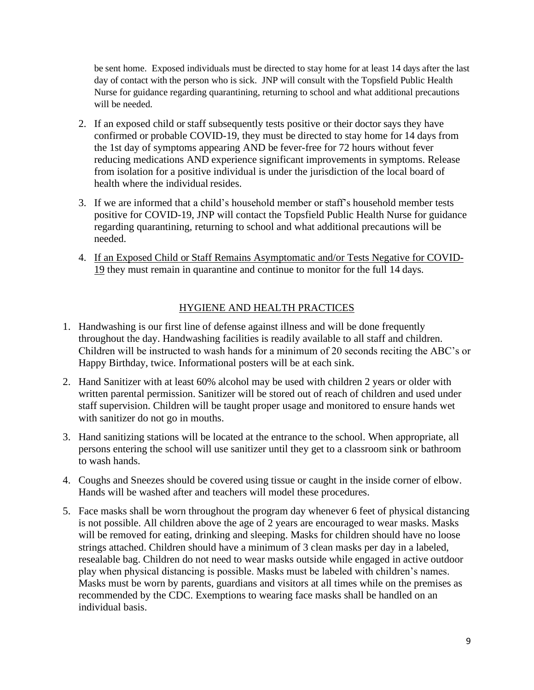be sent home. Exposed individuals must be directed to stay home for at least 14 days after the last day of contact with the person who is sick. JNP will consult with the Topsfield Public Health Nurse for guidance regarding quarantining, returning to school and what additional precautions will be needed.

- 2. If an exposed child or staff subsequently tests positive or their doctor says they have confirmed or probable COVID-19, they must be directed to stay home for 14 days from the 1st day of symptoms appearing AND be fever-free for 72 hours without fever reducing medications AND experience significant improvements in symptoms. Release from isolation for a positive individual is under the jurisdiction of the local board of health where the individual resides.
- 3. If we are informed that a child's household member or staff's household member tests positive for COVID-19, JNP will contact the Topsfield Public Health Nurse for guidance regarding quarantining, returning to school and what additional precautions will be needed.
- 4. If an Exposed Child or Staff Remains Asymptomatic and/or Tests Negative for COVID-19 they must remain in quarantine and continue to monitor for the full 14 days.

## HYGIENE AND HEALTH PRACTICES

- 1. Handwashing is our first line of defense against illness and will be done frequently throughout the day. Handwashing facilities is readily available to all staff and children. Children will be instructed to wash hands for a minimum of 20 seconds reciting the ABC's or Happy Birthday, twice. Informational posters will be at each sink.
- 2. Hand Sanitizer with at least 60% alcohol may be used with children 2 years or older with written parental permission. Sanitizer will be stored out of reach of children and used under staff supervision. Children will be taught proper usage and monitored to ensure hands wet with sanitizer do not go in mouths.
- 3. Hand sanitizing stations will be located at the entrance to the school. When appropriate, all persons entering the school will use sanitizer until they get to a classroom sink or bathroom to wash hands.
- 4. Coughs and Sneezes should be covered using tissue or caught in the inside corner of elbow. Hands will be washed after and teachers will model these procedures.
- 5. Face masks shall be worn throughout the program day whenever 6 feet of physical distancing is not possible. All children above the age of 2 years are encouraged to wear masks. Masks will be removed for eating, drinking and sleeping. Masks for children should have no loose strings attached. Children should have a minimum of 3 clean masks per day in a labeled, resealable bag. Children do not need to wear masks outside while engaged in active outdoor play when physical distancing is possible. Masks must be labeled with children's names. Masks must be worn by parents, guardians and visitors at all times while on the premises as recommended by the CDC. Exemptions to wearing face masks shall be handled on an individual basis.